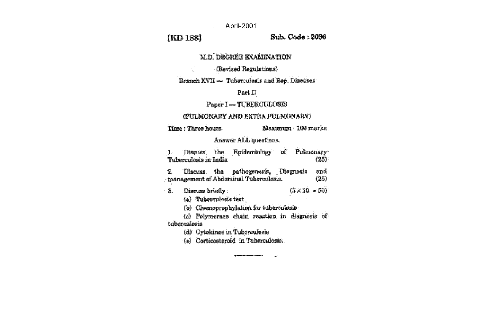April-2001

## [KD 188]

 $\frac{1}{2} \frac{e^{i \theta}}{2 \pi i}$ 

### Sub. Code: 2096

### **M.D. DEGREE EXAMINATION**

### (Revised Regulations)

### Branch XVII -- Tuberculosis and Rep. Diseases

### $Part II$

### **Paper 1-TUBERCULOSIS**

### (PULMONARY AND EXTRA PULMONARY)

Time : Three hours

Maximum: 100 marks

### Answer ALL questions.

Epidemiology of Pulmonary Discuss the 1. Tuberculosis in India  $(25)$ 

and Discuss the pathogenesis, Diagnosis 鬔 · tnanagement of Abdominal Tuberculosis.  $(25)$ 

Discuss briefly:  $(5 \times 10 = 50)$  $\cdot$  Sec.

(a) Tuberculosis test

(b) Chemoprophylation for tuberculosis

(c) Polymerase chain reaction in diagnosis of tuberculosis

.<br>Ser

(d) Cytokines in Tuberculosis

(e) Corticosteroid in Tuberculosis.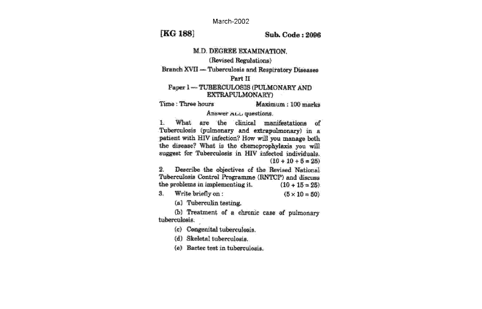March-2002

## [KG 188]

鸗

Suh. Code: 2006

 $(5 \times 10 = 50)$ 

# **M.D. DEGREE EXAMINATION.**

(Revised Regulations)

**Branch XVII -- Tuberculosis and Respiratory Diseases** 

### Part II

### Paper 1-TUBERCULOSIS (PULMONARY AND **EXTRAFULMONARY**

Time: Three hours Maximum: 100 marks

# Answer ALL questions.

 $\mathbb{R}$ What are the clinical manifestations of Tuberculosis (pulmonary and extrapulmonary) in a patient with HIV infection? How will you manage both the disease? What is the chemoprophylaxis you will suggest for Tuberculosis in HIV infected individuals.  $(10 + 10 + 5 = 25)$ 

Describe the objectives of the Revised National 2. Tuberculosis Control Programme (RNTCP) and discuss the problems in implementing it.  $(10 + 15 = 25)$ 

Write briefly on:

(a) Tuberculin testing

(b) Treatment of a chronic case of pulmonary tuberculosis.

(c) Congenital tuberculosis.

(d) Skeletal tuberculosis.

(e) Bactec test in tuberculosis.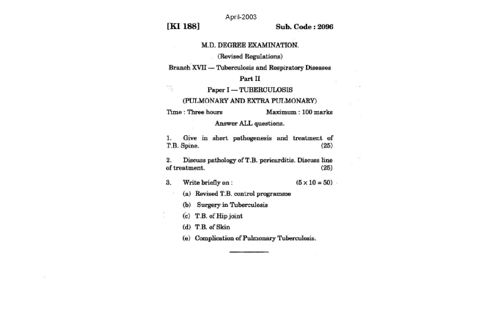April-2003

[KI 188]

 $\frac{\partial \mathcal{L}_{\mathcal{M}}}{\partial \mathcal{L}_{\mathcal{M}}}$ 

**Sub. Code: 2096** 

**COLL** 

### M.D. DEGREE EXAMINATION.

(Revised Regulations)

**Branch XVII - Tuberculosis and Respiratory Diseases** 

Part II

Paper I - TUBERCULOSIS

(PULMONARY AND EXTRA PULMONARY)

Maximum: 100 marks Time : Three hours

Answer ALL questions.

Give in short pathogenesis and treatment of  $1.$ T.B. Spine.  $(25)$ 

Discuss pathology of T.B. pericarditis. Discuss line 2. of treatment.  $(25)$ 

Write briefly on:  $(5 \times 10 = 50)$ 3.

(a) Revised T.B. control programme

(b) Surgery in Tuberculosis

(c) T.B. of Hip joint

(d) T.B. of Skin

(e) Complication of Pulmonary Tuberculosis.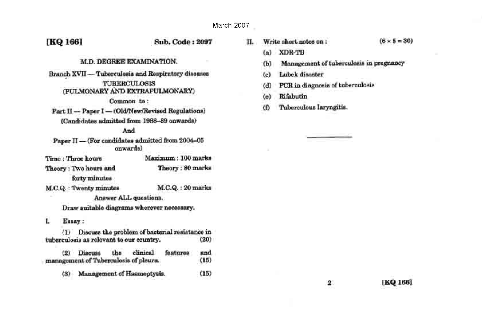[KQ 166]

Sub. Code: 2097

### M.D. DEGREE EXAMINATION.

Branch XVII - Tuberculosis and Respiratory diseases **TUBERCULOSIS** (PULMONARY AND EXTRAPULMONARY) Common to:

Part II - Paper I - (Old/New/Revised Regulations) (Candidates admitted from 1988-89 onwards)

### And

Paper II - (For candidates admitted from 2004-06 onwards)

Maximum: 100 marks Time: Three hours Theory: Two hours and Theory: 80 marks forty minutes

**M.C.Q.: Twenty minutes** M.C.Q.: 20 marks Answer ALL questions.

Draw suitable diagrams wherever necessary.

### Essay: L.

(1) Discuss the problem of bacterial resistance in tuberculosis as relevant to our country.  $(20)$ 

the clinical foatures **Discuss** and  $(2)$ management of Tuberculosis of pleura.  $(15)$ 

Management of Hasmoptysis.  $(15)$  $(3)$ 

Write short notes on:  $(6 \times 5 = 30)$ п.

- **XDR-TB**  $(a)$
- Management of tuberculosis in pregnancy  $(b)$
- Lubek disaster  $(c)$
- PCR in diagnosis of tuberculosis  $(d)$
- Rifabutin  $(a)$
- Tuberculous laryngitis.  $\omega$

 $\overline{\mathbf{2}}$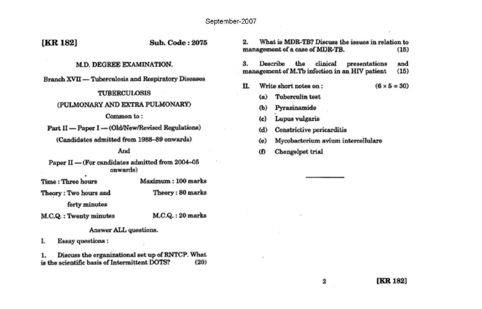| [KR 182]                                                                                                                                                                                                                                                                                                                     | Sub. Code: 2075                                            | What is MDR-TB? Discuss the issues in relation to<br>2.<br>management of a case of MDR-TB.<br>(15)                                                                                                                                                                                                                                                                        |
|------------------------------------------------------------------------------------------------------------------------------------------------------------------------------------------------------------------------------------------------------------------------------------------------------------------------------|------------------------------------------------------------|---------------------------------------------------------------------------------------------------------------------------------------------------------------------------------------------------------------------------------------------------------------------------------------------------------------------------------------------------------------------------|
| M.D. DEGREE EXAMINATION.<br><b>Branch XVII — Tuberculosis and Respiratory Diseases</b><br><b>TUBERCULOSIS</b><br>(PULMONARY AND EXTRA PULMONARY)<br>Common to:<br>Part II - Paper I - (Old/New/Revised Regulations)<br>(Candidates admitted from 1988-89 onwards)<br>And<br>Paper II - (For candidates admitted from 2004-05 |                                                            | Describe<br>clinical<br>and<br>3.<br>the<br>presentations<br>management of M.Tb infection in an HIV patient<br>(15)<br>П.<br>Write short notes on:<br>$(6 \times 5 = 30)$<br><b>Tuberculin</b> test<br>(a)<br>Pyrazinamide<br>(b)<br>Lupus vulgaris<br>(c)<br>Constrictive pericarditis<br>(d)<br>Mycobacterium avium intercellulare<br>(e)<br>Chengelpet trial<br>$\Phi$ |
| onwards)<br>Time: Three hours<br>Theory: Two hours and<br>forty minutes<br>M.C.Q. : Twenty minutes                                                                                                                                                                                                                           | Maximum: 100 marks<br>Theory: 80 marks<br>M.C.Q.: 20 marks |                                                                                                                                                                                                                                                                                                                                                                           |

Answer ALL questions. **Essay questions:** 

I.

1. Discuss the organizational set up of RNTCP. What<br>is the scientific basis of Intermittent DOTS? (20)

 $\bf{2}$ 

 $\alpha$  .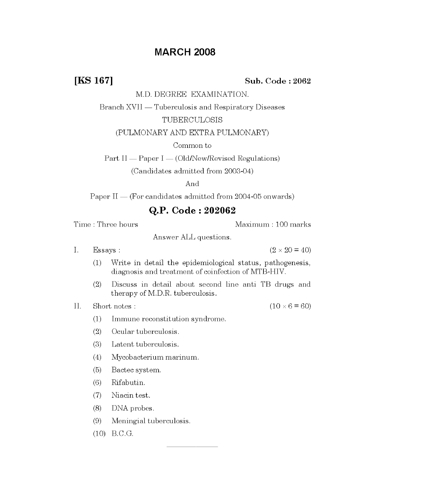## **MARCH 2008**

[KS 167]

### Sub. Code: 2062

M.D. DEGREE EXAMINATION.

Branch XVII — Tuberculosis and Respiratory Diseases

### TUBERCULOSIS

(PULMONARY AND EXTRA PULMONARY)

Common to

 $Part II = Paper I = (OldNew/Revised~Regulations)$ 

(Candidates admitted from 2003-04)

### And

Paper  $II = (For candidates admitted from 2004-05 onwards)$ 

### Q.P. Code: 202062

Time: Three hours

Maximum: 100 marks

Answer ALL questions.

Ι. Essays:  $(2 \times 20 = 40)$ 

- Write in detail the epidemiological status, pathogenesis,  $(1)$ diagnosis and treatment of coinfection of MTB-HIV.
- Discuss in detail about second line anti TB drugs and  $(2)$ therapy of M.D.R. tuberculosis.

Н. Short notes:  $(10 \times 6 = 60)$ 

- Immune reconstitution syndrome.  $(1)$
- $(2)$ Ocular tuberculosis.
- Latent tuberculosis.  $(3)$
- Mycobacterium marinum.  $(4)$
- $(5)$ Bactec system.
- $(6)$ Rifabutin.
- $(7)$ Niacin test.
- $(8)$ DNA probes.
- $(9)$ Meningial tuberculosis.
- $(10)$  B.C.G.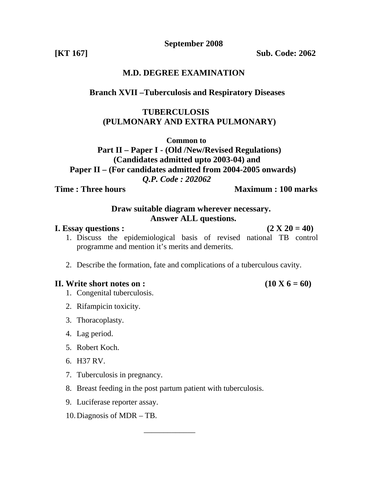**September 2008** 

**[KT 167] Sub. Code: 2062** 

# **M.D. DEGREE EXAMINATION**

# **Branch XVII –Tuberculosis and Respiratory Diseases**

# **TUBERCULOSIS (PULMONARY AND EXTRA PULMONARY)**

**Common to** 

 **Part II – Paper I - (Old /New/Revised Regulations) (Candidates admitted upto 2003-04) and Paper II – (For candidates admitted from 2004-2005 onwards)** 

*Q.P. Code : 202062* 

**Time : Three hours Maximum : 100 marks** 

# **Draw suitable diagram wherever necessary. Answer ALL questions.**

### **I.** Essay questions :  $(2 \text{ X } 20 = 40)$

- 1. Discuss the epidemiological basis of revised national TB control programme and mention it's merits and demerits.
- 2. Describe the formation, fate and complications of a tuberculous cavity.

# **II.** Write short notes on :  $(10 \text{ X } 6 = 60)$

- 1. Congenital tuberculosis.
- 2. Rifampicin toxicity.
- 3. Thoracoplasty.
- 4. Lag period.
- 5. Robert Koch.
- 6. H37 RV.
- 7. Tuberculosis in pregnancy.
- 8. Breast feeding in the post partum patient with tuberculosis.
- 9. Luciferase reporter assay.
- 10.Diagnosis of MDR TB.

 $\frac{1}{\sqrt{2}}$  ,  $\frac{1}{\sqrt{2}}$  ,  $\frac{1}{\sqrt{2}}$  ,  $\frac{1}{\sqrt{2}}$  ,  $\frac{1}{\sqrt{2}}$  ,  $\frac{1}{\sqrt{2}}$  ,  $\frac{1}{\sqrt{2}}$  ,  $\frac{1}{\sqrt{2}}$  ,  $\frac{1}{\sqrt{2}}$  ,  $\frac{1}{\sqrt{2}}$  ,  $\frac{1}{\sqrt{2}}$  ,  $\frac{1}{\sqrt{2}}$  ,  $\frac{1}{\sqrt{2}}$  ,  $\frac{1}{\sqrt{2}}$  ,  $\frac{1}{\sqrt{2}}$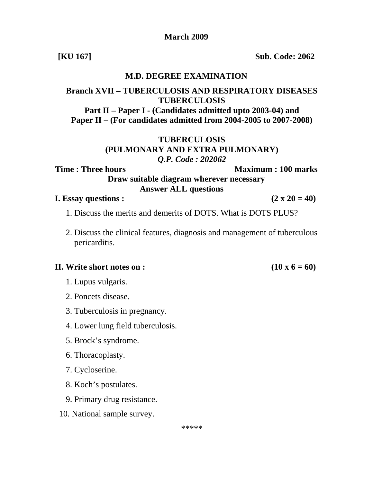### **March 2009**

**[KU 167] Sub. Code: 2062** 

# **M.D. DEGREE EXAMINATION**

# **Branch XVII – TUBERCULOSIS AND RESPIRATORY DISEASES TUBERCULOSIS**

**Part II – Paper I - (Candidates admitted upto 2003-04) and Paper II – (For candidates admitted from 2004-2005 to 2007-2008)** 

# **TUBERCULOSIS (PULMONARY AND EXTRA PULMONARY)**  *Q.P. Code : 202062*

**Time : Three hours Maximum : 100 marks Draw suitable diagram wherever necessary Answer ALL questions**

### **I.** Essay questions :  $(2 \times 20 = 40)$

- 1. Discuss the merits and demerits of DOTS. What is DOTS PLUS?
- 2. Discuss the clinical features, diagnosis and management of tuberculous pericarditis.

### **II.** Write short notes on :  $(10 \times 6 = 60)$

- 1. Lupus vulgaris.
- 2. Poncets disease.
- 3. Tuberculosis in pregnancy.
- 4. Lower lung field tuberculosis.
- 5. Brock's syndrome.
- 6. Thoracoplasty.
- 7. Cycloserine.
- 8. Koch's postulates.
- 9. Primary drug resistance.
- 10. National sample survey.

\*\*\*\*\*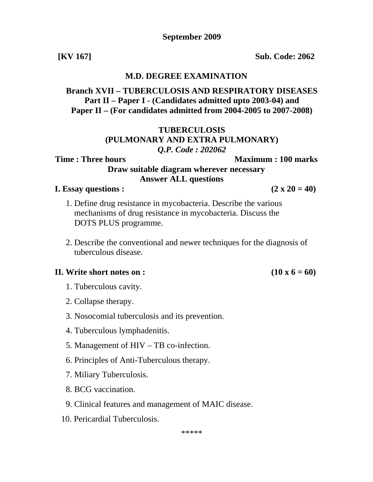**[KV 167] Sub. Code: 2062** 

### **M.D. DEGREE EXAMINATION**

**Branch XVII – TUBERCULOSIS AND RESPIRATORY DISEASES Part II – Paper I - (Candidates admitted upto 2003-04) and Paper II – (For candidates admitted from 2004-2005 to 2007-2008)** 

# **TUBERCULOSIS (PULMONARY AND EXTRA PULMONARY)**  *Q.P. Code : 202062*

# **Draw suitable diagram wherever necessary Answer ALL questions**

**Time : Three hours**  Maximum : 100 marks

### **I.** Essay questions :  $(2 \times 20 = 40)$

- 1. Define drug resistance in mycobacteria. Describe the various mechanisms of drug resistance in mycobacteria. Discuss the DOTS PLUS programme.
- 2. Describe the conventional and newer techniques for the diagnosis of tuberculous disease.

### **II.** Write short notes on :  $(10 \times 6 = 60)$

- 1. Tuberculous cavity.
- 2. Collapse therapy.
- 3. Nosocomial tuberculosis and its prevention.
- 4. Tuberculous lymphadenitis.
- 5. Management of HIV TB co-infection.
- 6. Principles of Anti-Tuberculous therapy.
- 7. Miliary Tuberculosis.
- 8. BCG vaccination.
- 9. Clinical features and management of MAIC disease.
- 10. Pericardial Tuberculosis.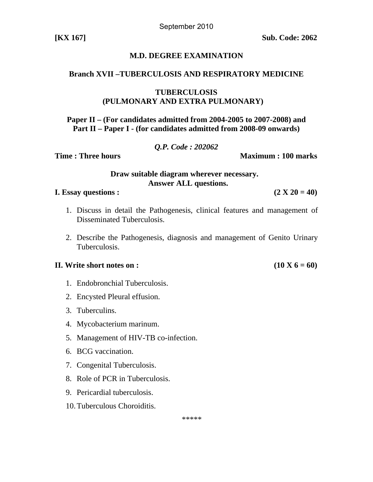September 2010

# **M.D. DEGREE EXAMINATION**

### **Branch XVII –TUBERCULOSIS AND RESPIRATORY MEDICINE**

### **TUBERCULOSIS (PULMONARY AND EXTRA PULMONARY)**

**Paper II – (For candidates admitted from 2004-2005 to 2007-2008) and Part II – Paper I - (for candidates admitted from 2008-09 onwards)** 

### *Q.P. Code : 202062*

**Time : Three hours Community Community Community Community Community Community Community Community Community Community Community Community Community Community Community Community Community Community Community Community Co** 

 **Draw suitable diagram wherever necessary. Answer ALL questions.** 

**I.** Essay questions :  $(2 \text{ X } 20 = 40)$ 

- 1. Discuss in detail the Pathogenesis, clinical features and management of Disseminated Tuberculosis.
- 2. Describe the Pathogenesis, diagnosis and management of Genito Urinary Tuberculosis.

### **II.** Write short notes on :  $(10 \text{ X } 6 = 60)$

- 1. Endobronchial Tuberculosis.
- 2. Encysted Pleural effusion.
- 3. Tuberculins.
- 4. Mycobacterium marinum.
- 5. Management of HIV-TB co-infection.
- 6. BCG vaccination.
- 7. Congenital Tuberculosis.
- 8. Role of PCR in Tuberculosis.
- 9. Pericardial tuberculosis.
- 10.Tuberculous Choroiditis.

\*\*\*\*\*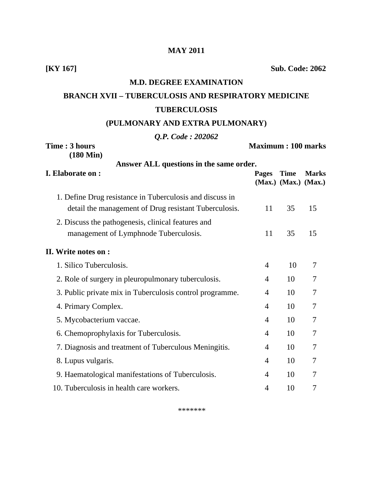### **MAY 2011**

**[KY 167] Sub. Code: 2062** 

# **M.D. DEGREE EXAMINATION**

# **BRANCH XVII – TUBERCULOSIS AND RESPIRATORY MEDICINE TUBERCULOSIS**

### **(PULMONARY AND EXTRA PULMONARY)**

### *Q.P. Code : 202062*

| Time: 3 hours<br>$(180 \text{ Min})$                     |                | <b>Maximum: 100 marks</b>                 |              |
|----------------------------------------------------------|----------------|-------------------------------------------|--------------|
| Answer ALL questions in the same order.                  |                |                                           |              |
| I. Elaborate on :                                        | <b>Pages</b>   | <b>Time</b><br>$(Max.)$ $(Max.)$ $(Max.)$ | <b>Marks</b> |
| 1. Define Drug resistance in Tuberculosis and discuss in |                |                                           |              |
| detail the management of Drug resistant Tuberculosis.    |                | 35                                        | 15           |
| 2. Discuss the pathogenesis, clinical features and       |                |                                           |              |
| management of Lymphnode Tuberculosis.                    | 11             | 35                                        | 15           |
| II. Write notes on :                                     |                |                                           |              |
| 1. Silico Tuberculosis.                                  | $\overline{4}$ | 10                                        | 7            |
| 2. Role of surgery in pleuropulmonary tuberculosis.      | 4              | 10                                        | 7            |
| 3. Public private mix in Tuberculosis control programme. | $\overline{4}$ | 10                                        | 7            |
| 4. Primary Complex.                                      |                | 10                                        | 7            |
| 5. Mycobacterium vaccae.                                 | $\overline{4}$ | 10                                        | 7            |
| 6. Chemoprophylaxis for Tuberculosis.                    | $\overline{4}$ | 10                                        | 7            |
| 7. Diagnosis and treatment of Tuberculous Meningitis.    | 4              | 10                                        | 7            |
| 8. Lupus vulgaris.                                       | 4              | 10                                        | 7            |
| 9. Haematological manifestations of Tuberculosis.        | 4              | 10                                        | 7            |
| 10. Tuberculosis in health care workers.                 | $\overline{4}$ | 10                                        | 7            |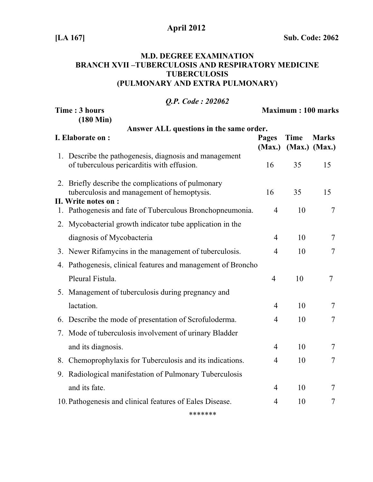# **April 2012**

**[LA 167] Sub. Code: 2062** 

# **M.D. DEGREE EXAMINATION BRANCH XVII –TUBERCULOSIS AND RESPIRATORY MEDICINE TUBERCULOSIS (PULMONARY AND EXTRA PULMONARY)**

| <b>O.P.</b> Code: 202062                                                                                                 |                |                              |                |  |  |  |
|--------------------------------------------------------------------------------------------------------------------------|----------------|------------------------------|----------------|--|--|--|
| Time: 3 hours                                                                                                            |                | <b>Maximum: 100 marks</b>    |                |  |  |  |
| $(180 \text{ Min})$<br>Answer ALL questions in the same order.                                                           |                |                              |                |  |  |  |
| I. Elaborate on:                                                                                                         |                | Time<br>(Max.) (Max.) (Max.) | <b>Marks</b>   |  |  |  |
| 1. Describe the pathogenesis, diagnosis and management<br>of tuberculous pericarditis with effusion.                     | 16             | 35                           | 15             |  |  |  |
| 2. Briefly describe the complications of pulmonary<br>tuberculosis and management of hemoptysis.<br>II. Write notes on : |                | 35                           | 15             |  |  |  |
| 1. Pathogenesis and fate of Tuberculous Bronchopneumonia.                                                                | $\overline{4}$ | 10                           | 7              |  |  |  |
| 2. Mycobacterial growth indicator tube application in the                                                                |                |                              |                |  |  |  |
| diagnosis of Mycobacteria                                                                                                | $\overline{4}$ | 10                           | 7              |  |  |  |
| 3. Newer Rifamycins in the management of tuberculosis.                                                                   | 4              | 10                           | 7              |  |  |  |
| 4. Pathogenesis, clinical features and management of Broncho                                                             |                |                              |                |  |  |  |
| Pleural Fistula.                                                                                                         | $\overline{4}$ | 10                           | 7              |  |  |  |
| 5. Management of tuberculosis during pregnancy and                                                                       |                |                              |                |  |  |  |
| lactation.                                                                                                               | $\overline{4}$ | 10                           | $\overline{7}$ |  |  |  |
| 6. Describe the mode of presentation of Scrofuloderma.                                                                   | 4              | 10                           | 7              |  |  |  |
| 7. Mode of tuberculosis involvement of urinary Bladder                                                                   |                |                              |                |  |  |  |
| and its diagnosis.                                                                                                       | $\overline{4}$ | 10                           | 7              |  |  |  |
| 8. Chemoprophylaxis for Tuberculosis and its indications.                                                                | $\overline{4}$ | 10                           | 7              |  |  |  |
| 9. Radiological manifestation of Pulmonary Tuberculosis                                                                  |                |                              |                |  |  |  |
| and its fate.                                                                                                            | $\overline{4}$ | 10                           | 7              |  |  |  |
| 10. Pathogenesis and clinical features of Eales Disease.                                                                 |                | 10                           | 7              |  |  |  |
|                                                                                                                          |                |                              |                |  |  |  |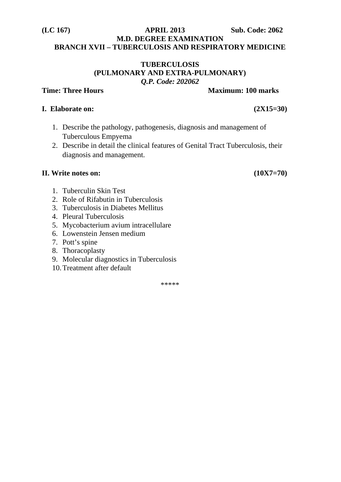### **(LC 167) APRIL 2013 Sub. Code: 2062 M.D. DEGREE EXAMINATION BRANCH XVII – TUBERCULOSIS AND RESPIRATORY MEDICINE**

### **TUBERCULOSIS (PULMONARY AND EXTRA-PULMONARY)**  *Q.P. Code: 202062*

# **I. Elaborate on: (2X15=30)**

- 1. Describe the pathology, pathogenesis, diagnosis and management of Tuberculous Empyema
- 2. Describe in detail the clinical features of Genital Tract Tuberculosis, their diagnosis and management.

# **II. Write notes on: (10X7=70)**

- 1. Tuberculin Skin Test
- 2. Role of Rifabutin in Tuberculosis
- 3. Tuberculosis in Diabetes Mellitus
- 4. Pleural Tuberculosis
- 5. Mycobacterium avium intracellulare
- 6. Lowenstein Jensen medium
- 7. Pott's spine
- 8. Thoracoplasty
- 9. Molecular diagnostics in Tuberculosis
- 10.Treatment after default

\*\*\*\*\*

### **Time: Three Hours Maximum: 100 marks**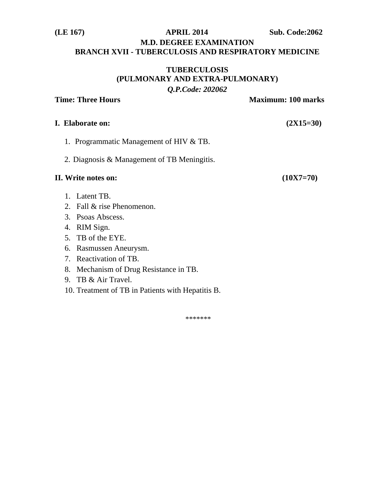# **(LE 167) APRIL 2014 Sub. Code:2062 M.D. DEGREE EXAMINATION BRANCH XVII - TUBERCULOSIS AND RESPIRATORY MEDICINE**

# **TUBERCULOSIS (PULMONARY AND EXTRA-PULMONARY)**  *Q.P.Code: 202062*

**Time: Three Hours**  Maximum: 100 marks

### **I. Elaborate on: (2X15=30)**

- 1. Programmatic Management of HIV & TB.
- 2. Diagnosis & Management of TB Meningitis.

### **II. Write notes on: (10X7=70)**

- 1. Latent TB.
- 2. Fall & rise Phenomenon.
- 3. Psoas Abscess.
- 4. RIM Sign.
- 5. TB of the EYE.
- 6. Rasmussen Aneurysm.
- 7. Reactivation of TB.
- 8. Mechanism of Drug Resistance in TB.
- 9. TB & Air Travel.
- 10. Treatment of TB in Patients with Hepatitis B.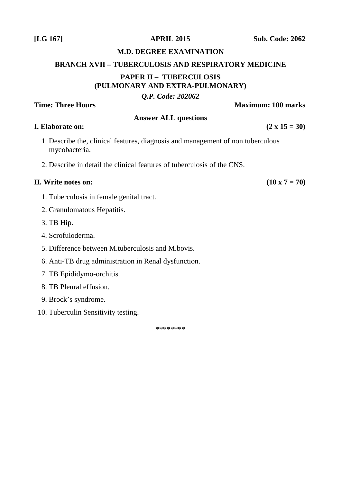# **M.D. DEGREE EXAMINATION**

# **BRANCH XVII – TUBERCULOSIS AND RESPIRATORY MEDICINE PAPER II – TUBERCULOSIS (PULMONARY AND EXTRA-PULMONARY)**

# *Q.P. Code: 202062*

**Time: Three Hours Maximum: 100 marks** 

# **Answer ALL questions**

# **I.** Elaborate on:  $(2 \times 15 = 30)$

- 1. Describe the, clinical features, diagnosis and management of non tuberculous mycobacteria.
- 2. Describe in detail the clinical features of tuberculosis of the CNS.

# **II.** Write notes on:  $(10 \times 7 = 70)$

- 1. Tuberculosis in female genital tract.
- 2. Granulomatous Hepatitis.
- 3. TB Hip.
- 4. Scrofuloderma.
- 5. Difference between M.tuberculosis and M.bovis.
- 6. Anti-TB drug administration in Renal dysfunction.
- 7. TB Epididymo-orchitis.
- 8. TB Pleural effusion.
- 9. Brock's syndrome.
- 10. Tuberculin Sensitivity testing.

\*\*\*\*\*\*\*\*

**[LG 167] APRIL 2015 Sub. Code: 2062**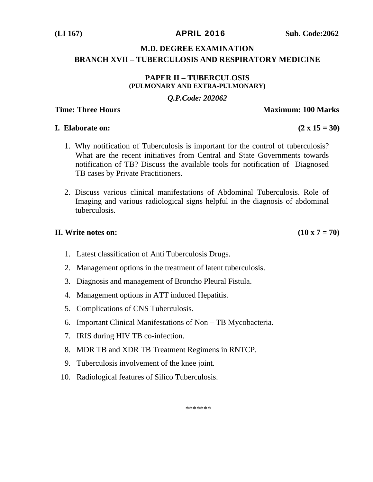# **M.D. DEGREE EXAMINATION BRANCH XVII – TUBERCULOSIS AND RESPIRATORY MEDICINE**

### **PAPER II – TUBERCULOSIS (PULMONARY AND EXTRA-PULMONARY)**

# *Q.P.Code: 202062*

# **Time: Three Hours Maximum: 100 Marks**

### **I.** Elaborate on:  $(2 \times 15 = 30)$

- 1. Why notification of Tuberculosis is important for the control of tuberculosis? What are the recent initiatives from Central and State Governments towards notification of TB? Discuss the available tools for notification of Diagnosed TB cases by Private Practitioners.
- 2. Discuss various clinical manifestations of Abdominal Tuberculosis. Role of Imaging and various radiological signs helpful in the diagnosis of abdominal tuberculosis.

# **II.** Write notes on:  $(10 \times 7 = 70)$

- 1. Latest classification of Anti Tuberculosis Drugs.
- 2. Management options in the treatment of latent tuberculosis.
- 3. Diagnosis and management of Broncho Pleural Fistula.
- 4. Management options in ATT induced Hepatitis.
- 5. Complications of CNS Tuberculosis.
- 6. Important Clinical Manifestations of Non TB Mycobacteria.
- 7. IRIS during HIV TB co-infection.
- 8. MDR TB and XDR TB Treatment Regimens in RNTCP.
- 9. Tuberculosis involvement of the knee joint.
- 10. Radiological features of Silico Tuberculosis.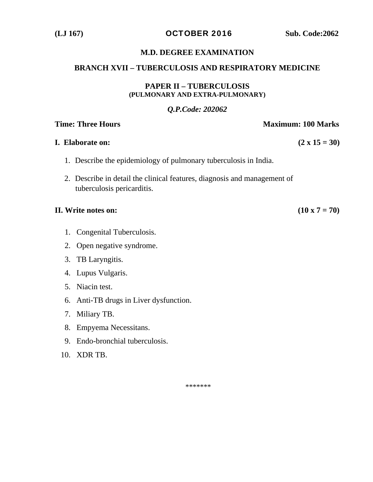**(LJ 167)** OCTOBER 2016 **Sub. Code:2062** 

### **M.D. DEGREE EXAMINATION**

### **BRANCH XVII – TUBERCULOSIS AND RESPIRATORY MEDICINE**

### **PAPER II – TUBERCULOSIS (PULMONARY AND EXTRA-PULMONARY)**

# *Q.P.Code: 202062*

### **Time: Three Hours Maximum: 100 Marks**

# **I.** Elaborate on:  $(2 \times 15 = 30)$

- 1. Describe the epidemiology of pulmonary tuberculosis in India.
- 2. Describe in detail the clinical features, diagnosis and management of tuberculosis pericarditis.

### **II.** Write notes on:  $(10 \times 7 = 70)$

- 1. Congenital Tuberculosis.
- 2. Open negative syndrome.
- 3. TB Laryngitis.
- 4. Lupus Vulgaris.
- 5. Niacin test.
- 6. Anti-TB drugs in Liver dysfunction.
- 7. Miliary TB.
- 8. Empyema Necessitans.
- 9. Endo-bronchial tuberculosis.
- 10. XDR TB.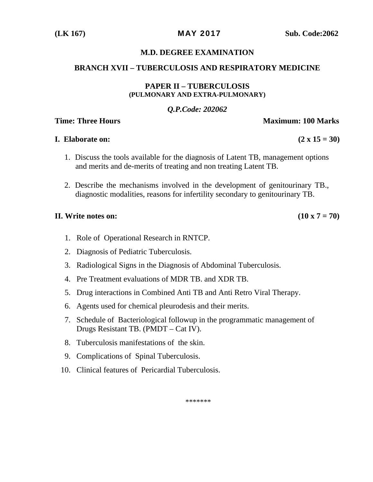### **M.D. DEGREE EXAMINATION**

### **BRANCH XVII – TUBERCULOSIS AND RESPIRATORY MEDICINE**

### **PAPER II – TUBERCULOSIS (PULMONARY AND EXTRA-PULMONARY)**

### *Q.P.Code: 202062*

### **Time: Three Hours**  Maximum: 100 Marks

### **I.** Elaborate on:  $(2 \times 15 = 30)$

- 1. Discuss the tools available for the diagnosis of Latent TB, management options and merits and de-merits of treating and non treating Latent TB.
- 2. Describe the mechanisms involved in the development of genitourinary TB., diagnostic modalities, reasons for infertility secondary to genitourinary TB.

### **II.** Write notes on:  $(10 \times 7 = 70)$

- 1. Role of Operational Research in RNTCP.
- 2. Diagnosis of Pediatric Tuberculosis.
- 3. Radiological Signs in the Diagnosis of Abdominal Tuberculosis.
- 4. Pre Treatment evaluations of MDR TB. and XDR TB.
- 5. Drug interactions in Combined Anti TB and Anti Retro Viral Therapy.
- 6. Agents used for chemical pleurodesis and their merits.
- 7. Schedule of Bacteriological followup in the programmatic management of Drugs Resistant TB. (PMDT – Cat IV).
- 8. Tuberculosis manifestations of the skin.
- 9. Complications of Spinal Tuberculosis.
- 10. Clinical features of Pericardial Tuberculosis.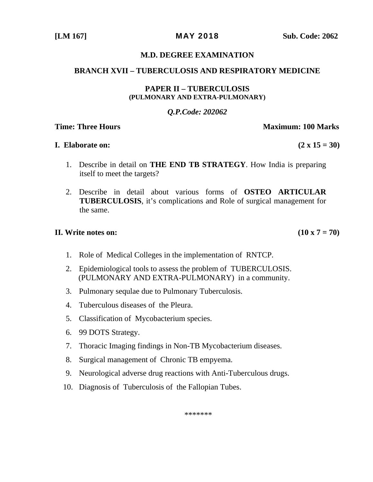### **M.D. DEGREE EXAMINATION**

### **BRANCH XVII – TUBERCULOSIS AND RESPIRATORY MEDICINE**

### **PAPER II – TUBERCULOSIS (PULMONARY AND EXTRA-PULMONARY)**

### *Q.P.Code: 202062*

### **Time: Three Hours Maximum: 100 Marks**

### **I.** Elaborate on:  $(2 \times 15 = 30)$

- 1. Describe in detail on **THE END TB STRATEGY**. How India is preparing itself to meet the targets?
- 2. Describe in detail about various forms of **OSTEO ARTICULAR TUBERCULOSIS**, it's complications and Role of surgical management for the same.

# **II.** Write notes on:  $(10 \times 7 = 70)$

- 1. Role of Medical Colleges in the implementation of RNTCP.
- 2. Epidemiological tools to assess the problem of TUBERCULOSIS. (PULMONARY AND EXTRA-PULMONARY) in a community.
- 3. Pulmonary sequlae due to Pulmonary Tuberculosis.
- 4. Tuberculous diseases of the Pleura.
- 5. Classification of Mycobacterium species.
- 6. 99 DOTS Strategy.
- 7. Thoracic Imaging findings in Non-TB Mycobacterium diseases.
- 8. Surgical management of Chronic TB empyema.
- 9. Neurological adverse drug reactions with Anti-Tuberculous drugs.
- 10. Diagnosis of Tuberculosis of the Fallopian Tubes.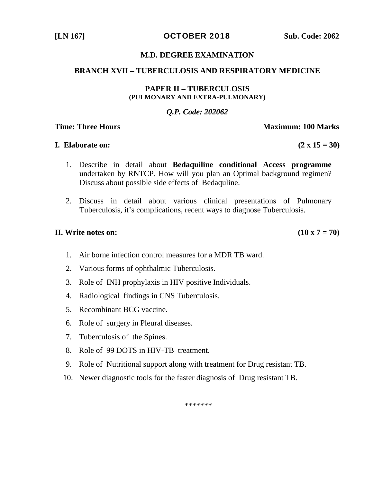**[LN 167] OCTOBER 2018** Sub. Code: 2062

### **M.D. DEGREE EXAMINATION**

### **BRANCH XVII – TUBERCULOSIS AND RESPIRATORY MEDICINE**

### **PAPER II – TUBERCULOSIS (PULMONARY AND EXTRA-PULMONARY)**

### *Q.P. Code: 202062*

### **Time: Three Hours Maximum: 100 Marks**

### **I.** Elaborate on:  $(2 \times 15 = 30)$

- 1. Describe in detail about **Bedaquiline conditional Access programme**  undertaken by RNTCP. How will you plan an Optimal background regimen? Discuss about possible side effects of Bedaquline.
- 2. Discuss in detail about various clinical presentations of Pulmonary Tuberculosis, it's complications, recent ways to diagnose Tuberculosis.

### **II.** Write notes on:  $(10 \times 7 = 70)$

- 1. Air borne infection control measures for a MDR TB ward.
- 2. Various forms of ophthalmic Tuberculosis.
- 3. Role of INH prophylaxis in HIV positive Individuals.
- 4. Radiological findings in CNS Tuberculosis.
- 5. Recombinant BCG vaccine.
- 6. Role of surgery in Pleural diseases.
- 7. Tuberculosis of the Spines.
- 8. Role of 99 DOTS in HIV-TB treatment.
- 9. Role of Nutritional support along with treatment for Drug resistant TB.
- 10. Newer diagnostic tools for the faster diagnosis of Drug resistant TB.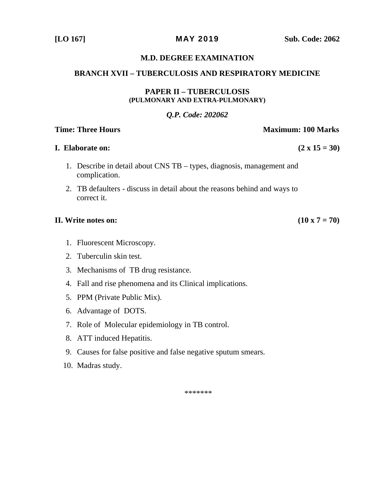**[LO 167]** MAY 2019 **Sub. Code: 2062** 

### **M.D. DEGREE EXAMINATION**

### **BRANCH XVII – TUBERCULOSIS AND RESPIRATORY MEDICINE**

### **PAPER II – TUBERCULOSIS (PULMONARY AND EXTRA-PULMONARY)**

### *Q.P. Code: 202062*

### **Time: Three Hours Maximum: 100 Marks**

### **I.** Elaborate on:  $(2 \times 15 = 30)$

- 1. Describe in detail about CNS TB types, diagnosis, management and complication.
- 2. TB defaulters discuss in detail about the reasons behind and ways to correct it.

### **II.** Write notes on:  $(10 \times 7 = 70)$

- 1. Fluorescent Microscopy.
- 2. Tuberculin skin test.
- 3. Mechanisms of TB drug resistance.
- 4. Fall and rise phenomena and its Clinical implications.
- 5. PPM (Private Public Mix).
- 6. Advantage of DOTS.
- 7. Role of Molecular epidemiology in TB control.
- 8. ATT induced Hepatitis.
- 9. Causes for false positive and false negative sputum smears.
- 10. Madras study.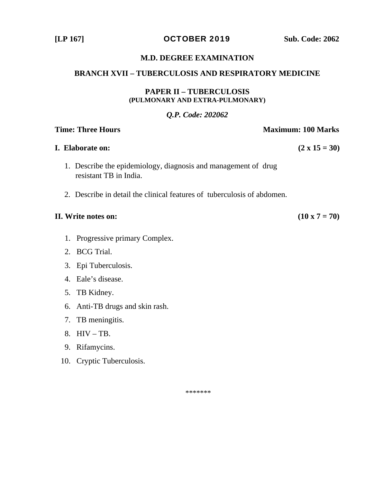**[LP 167]** OCTOBER 2019 **Sub. Code: 2062** 

### **M.D. DEGREE EXAMINATION**

### **BRANCH XVII – TUBERCULOSIS AND RESPIRATORY MEDICINE**

### **PAPER II – TUBERCULOSIS (PULMONARY AND EXTRA-PULMONARY)**

### *Q.P. Code: 202062*

# **Time: Three Hours Maximum: 100 Marks**

# **I.** Elaborate on:  $(2 \times 15 = 30)$

- 1. Describe the epidemiology, diagnosis and management of drug resistant TB in India.
- 2. Describe in detail the clinical features of tuberculosis of abdomen.

### **II.** Write notes on:  $(10 \times 7 = 70)$

- 1. Progressive primary Complex.
- 2. BCG Trial.
- 3. Epi Tuberculosis.
- 4. Eale's disease.
- 5. TB Kidney.
- 6. Anti-TB drugs and skin rash.
- 7. TB meningitis.
- 8. HIV TB.
- 9. Rifamycins.
- 10. Cryptic Tuberculosis.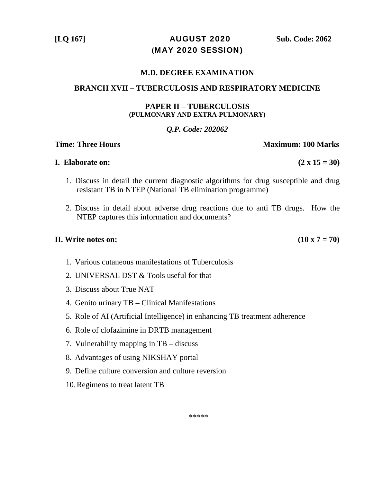**[LQ 167]** AUGUST 2020 **Sub. Code: 2062 (**MAY 2020 SESSION)

### **M.D. DEGREE EXAMINATION**

### **BRANCH XVII – TUBERCULOSIS AND RESPIRATORY MEDICINE**

### **PAPER II – TUBERCULOSIS (PULMONARY AND EXTRA-PULMONARY)**

### *Q.P. Code: 202062*

### **Time: Three Hours**  Maximum: 100 Marks

### **I.** Elaborate on:  $(2 \times 15 = 30)$

- 1. Discuss in detail the current diagnostic algorithms for drug susceptible and drug resistant TB in NTEP (National TB elimination programme)
- 2. Discuss in detail about adverse drug reactions due to anti TB drugs. How the NTEP captures this information and documents?

### **II.** Write notes on:  $(10 \times 7 = 70)$

- 1. Various cutaneous manifestations of Tuberculosis
- 2. UNIVERSAL DST & Tools useful for that
- 3. Discuss about True NAT
- 4. Genito urinary TB Clinical Manifestations
- 5. Role of AI (Artificial Intelligence) in enhancing TB treatment adherence
- 6. Role of clofazimine in DRTB management
- 7. Vulnerability mapping in TB discuss
- 8. Advantages of using NIKSHAY portal
- 9. Define culture conversion and culture reversion
- 10.Regimens to treat latent TB

\*\*\*\*\*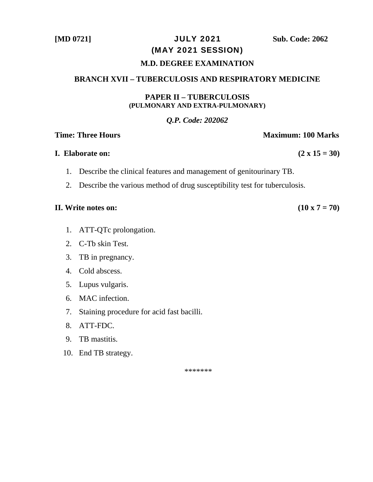# **[MD 0721]** JULY 2021 **Sub. Code: 2062**  (MAY 2021 SESSION)

### **M.D. DEGREE EXAMINATION**

# **BRANCH XVII – TUBERCULOSIS AND RESPIRATORY MEDICINE**

### **PAPER II – TUBERCULOSIS (PULMONARY AND EXTRA-PULMONARY)**

### *Q.P. Code: 202062*

### **Time: Three Hours Community Community Community Community Community Community Community Community Community Community Community Community Community Community Community Community Community Community Community Community Com**

### **I.** Elaborate on:  $(2 \times 15 = 30)$

- 1. Describe the clinical features and management of genitourinary TB.
- 2. Describe the various method of drug susceptibility test for tuberculosis.

### **II.** Write notes on:  $(10 \times 7 = 70)$

- 1. ATT-QTc prolongation.
- 2. C-Tb skin Test.
- 3. TB in pregnancy.
- 4. Cold abscess.
- 5. Lupus vulgaris.
- 6. MAC infection.
- 7. Staining procedure for acid fast bacilli.
- 8. ATT-FDC.
- 9. TB mastitis.
- 10. End TB strategy.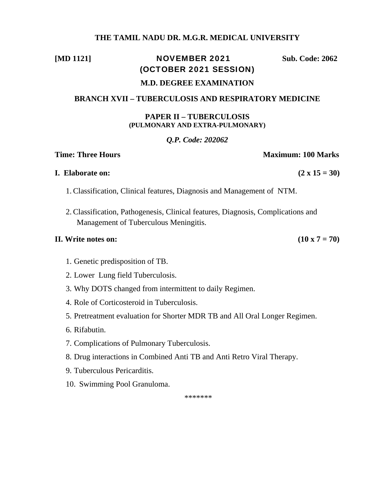### **THE TAMIL NADU DR. M.G.R. MEDICAL UNIVERSITY**

## **[MD 1121] NOVEMBER 2021** Sub. Code: 2062 (OCTOBER 2021 SESSION)

# **M.D. DEGREE EXAMINATION**

### **BRANCH XVII – TUBERCULOSIS AND RESPIRATORY MEDICINE**

### **PAPER II – TUBERCULOSIS (PULMONARY AND EXTRA-PULMONARY)**

### *Q.P. Code: 202062*

### **Time: Three Hours Maximum: 100 Marks**

### **I.** Elaborate on:  $(2 \times 15 = 30)$

- 1. Classification, Clinical features, Diagnosis and Management of NTM.
- 2. Classification, Pathogenesis, Clinical features, Diagnosis, Complications and Management of Tuberculous Meningitis.

### **II.** Write notes on:  $(10 \times 7 = 70)$

- 1. Genetic predisposition of TB.
- 2. Lower Lung field Tuberculosis.
- 3. Why DOTS changed from intermittent to daily Regimen.
- 4. Role of Corticosteroid in Tuberculosis.
- 5. Pretreatment evaluation for Shorter MDR TB and All Oral Longer Regimen.
- 6. Rifabutin.
- 7. Complications of Pulmonary Tuberculosis.
- 8. Drug interactions in Combined Anti TB and Anti Retro Viral Therapy.
- 9. Tuberculous Pericarditis.
- 10. Swimming Pool Granuloma.